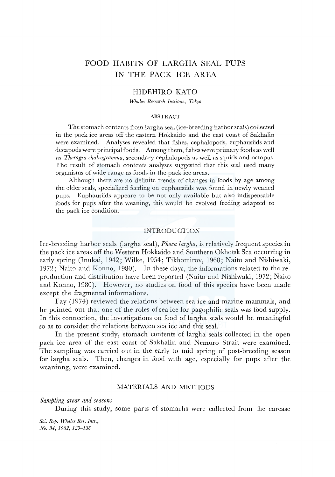# FOOD HABITS OF LARGHA SEAL PUPS IN THE PACK ICE AREA

### HIDEHIRO KATO

*Whales Research Institute, Tokyo* 

#### ABSTRACT

The stomach contents from largha seal (ice-breeding harbor seals) collected in the pack ice areas off the eastern Hokkaido and the east coast of Sakhalin were examined. Analyses revealed that fishes, cephalopods, euphausiids and decapods were principal foods. Among them, fishes were primary foods as well as *Theragra chalcogramma,* secondary cephalopods as well as squids and octopus. The result of stomach contents analyses suggested that this seal used many organisms of wide range as foods in the pack ice areas.

Although there are no definite trends of changes in foods by age among the older seals, specialized feeding on euphausiids was found in newly weaned pups. Euphausiids appeare to be not only available but also indispensable foods for pups after the weaning, this would be evolved feeding adapted to the pack ice condition.

#### INTRODUCTION

Ice-breeding harbor seals (largha seal), *Phoca largha,* is relatively frequent species in the pack ice areas off the Western Hokkaido and Southern Okhotsk Sea occurring in early spring (Inukai, 1942; Wilke, 1954; Tikhomirov, 1968; Naito and Nishiwaki, 1972; Naito and Konno, 1980). In these days, the informations related to the reproduction and distribution have been reported (Naito and Nishiwaki, 1972; Naito and Konno, 1980). However, no studies on food of this species have been made except the fragmental informations.

Fay (1974) reviewed the relations between sea ice and marine mammals, and he pointed out that one of the roles of sea ice for pagophilic seals was food supply. In this connection, the investigations on food of largha seals would be meaningful so as to consider the relations between sea ice and this seal.

In the present study, stomach contents of largha seals collected in the open pack ice area of the east coast of Sakhalin and Nemuro Strait were examined. The sampling was carried out in the early to mid spring of post-breeding season for largha seals. Then, changes in food with age, especially for pups after the weaninng, were examined.

#### MATERIALS AND METHODS

*Sampling areas and seasons* 

During this study, some parts of stomachs were collected from the carcase

*Sci. Rep. Whales Res. Inst., No. 34, 1982, 123-136*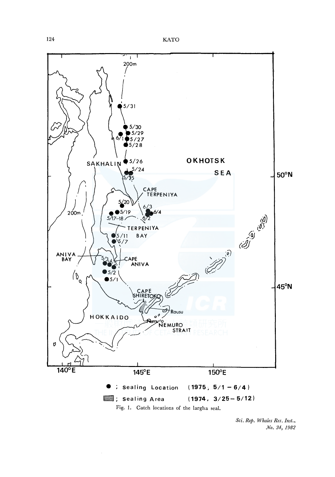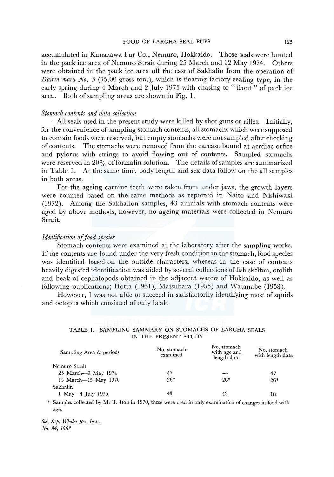accumulated in Kanazawa Fur Co., Nemuro, Hokkaido. Those seals were hunted in the pack ice area of Nemuro Strait during 25 March and  $12$  May 1974. Others were obtained in the pack ice area off the east of Sakhalin from the operation of *Dairin maru No. 5 (75.00 gross ton.), which is floating factory sealing type, in the* early spring during 4 March and 2 July 1975 with chasing to "front" of pack ice area. Both of sampling areas are shown in Fig. 1.

#### *Stomach contents and data collection*

All seals used in the present study were killed by shot guns or rifles. Initially, for the convenience of sampling stomach contents, all stomachs which were supposed to contain foods were reserved, but empty stomachs were not sampled after checking of contents. The stomachs were removed from the carcase bound at acrdiac orfice and pylorus with strings to avoid flowing out of contents. Sampled stomachs were reserved in  $20\%$  of formalin solution. The details of samples are summarized in Table 1. At the same time, body length and sex data follow on the all samples in both areas.

For the ageing carnine teeth were taken from under jaws, the growth layers were counted based on the same methods as reported in Naito and Nishiwaki (1972). Among the Sakhalion samples, 43 animals with stomach contents were aged by above methods, however, no ageing materials were collected in Nemuro Strait.

#### *Identification of food species*

Stomach contents were examined at the laboratory after the sampling works. If the contents are found under the very fresh condition in the stomach, food species was identified based on the outside characters, whereas in the case of contents heavily digested identification was aided by several collections of fish skelton, otolith and beak of cephalopods obtained in the adjacent waters of Hokkaido, as well as following publications; Hotta (1961), Matsubara (1955) and Watanabe (1958).

However, I was not able to succeed in satisfactorily identifying most of squids and octopus which consisted of only beak.

#### TABLE 1. SAMPLING SAMMARY ON STOMACHS OF LARGHA SEALS IN THE PRESENT STUDY

| Sampling Area & periods | No. stomach<br>examined | No. stomach<br>with age and<br>length data | No. stomach<br>with length data |  |
|-------------------------|-------------------------|--------------------------------------------|---------------------------------|--|
| Nemuro Strait           |                         |                                            |                                 |  |
| 25 March - 9 May 1974   | 47                      |                                            | 47                              |  |
| 15 March-15 May 1970    | $26*$                   | $26*$                                      | $26*$                           |  |
| Sakhalin                |                         |                                            |                                 |  |
| $1$ May $-4$ July 1975  | 43                      | 43                                         | 18                              |  |

\* Samples collected by Mr T. Itoh in 1970, these were used in only examination of changes in food with age.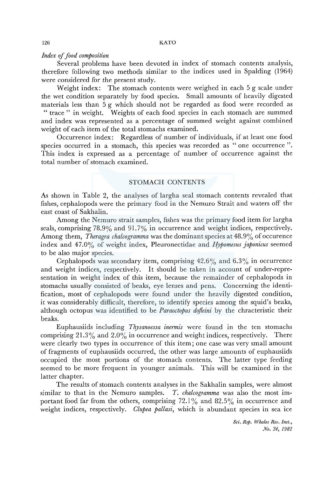#### *Index of food composition*

Several problems have been devoted in index of stomach contents analysis, therefore following two methods similar to the indices used in Spalding (1964) were considered for the present study.

Weight index: The stomach contents were weighed in each 5 g scale under the wet condition separately by food species. Small amounts of heavily digested materials less than 5 g which should not be regarded as food were recorded as "trace" in weight. Weights of each food species in each stomach are summed and index was represented as a percentage of summed weight against combined weight of each item of the total stomachs examined.

Occurrence index: Regardless of number of individuals, if at least one food species occurred in a stomach, this species was recorded as " one occurrence ". This index is expressed as a percentage of number of occurrence against the total number of stomach examined.

# STOMACH CONTENTS

As shown in Table 2, the analyses of largha seal stomach contents revealed that fishes, cephalopods were the primary food in the Nemuro Strait and waters off the east coast of Sakhalin.

Among the Nemuro strait samples, fishes was the primary food item for largha seals, comprising 78.9% and 91.7% in occurrence and weight indices, respectively. Among them, *Theragra chalcogramma* was the dominant species at 48.9% of occurence index and 47.0% of weight index, Pleuronectidae and *Hypomesus Japonicus* seemed to be also major species.

Cephalopods was secondary item, comprising  $42.6\%$  and  $6.3\%$  in occurrence and weight indices, respectively. It should be taken in account of under-representation in weight index of this item, because the remainder of cephalopods in stomachs usually consisted of beaks, eye lenses and pens. Concerning the identification, most of cephalopods were found under the heavily digested condition, it was considerably difficult, therefore, to identify species among the squid's beaks, although octopus was identified to be *Paraoctopus defleini* by the chracteristic their beaks.

Euphausiids including *Thysanoessa inermis* were found in the ten stomachs comprising  $21.3\%$  and  $2.0\%$  in occurrence and weight indices, respectively. There were clearly two types in occurrence of this item; one case was very small amount of fragments of euphausiids occurred, the other was large amounts of euphausiids occupied the most portions of the stomach contents. The latter type feeding seemed to be more frequent in younger animals. This will be examined in the latter chapter.

The results of stomach contents analyses in the Sakhalin samples, were almost similar to that in the Nemuro samples. *T. chalcogramma* was also the most important food far from the others, comprising  $72.1\%$  and  $82.5\%$  in occurrence and weight indices, respectively. *Clupea pallasi,* which is abundant species in sea ice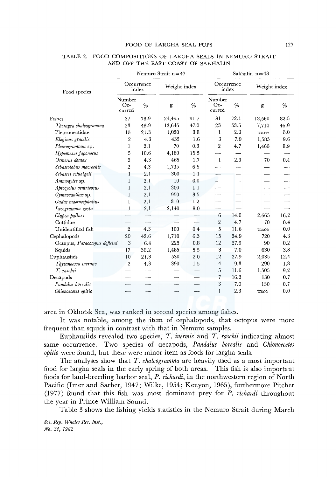#### FOOD OF LARGHA SEAL PUPS 127

|                               | Nemuro Strait $n=47$       |      |        |                    | Sakhalin $n=43$         |                     |        |              |  |
|-------------------------------|----------------------------|------|--------|--------------------|-------------------------|---------------------|--------|--------------|--|
| Food species                  | Occurrence<br>index        |      |        | Weight index       |                         | Occurrence<br>index |        | Weight index |  |
|                               | Number<br>$Oc$ -<br>curred | $\%$ | g      | $\frac{0}{6}$      | Number<br>Oc-<br>curred | $\%$                | g      | $\%$         |  |
| Fishes                        | 37                         | 78.9 | 24,495 | 91.7               | 31                      | 72.1                | 13,560 | 82.5         |  |
| Theragra chalcogramma         | 23                         | 48.9 | 12,645 | 47.0               | 23                      | 53.5                | 7,710  | 46.9         |  |
| Pleuronectidae                | 10                         | 21.3 | 1,020  | 3.8                | 1                       | 2.3                 | trace  | 0.0          |  |
| Eleginus gracilis             | $\boldsymbol{2}$           | 4.3  | 435    | 1.6                | 3                       | 7.0                 | 1,585  | 9.6          |  |
| Pleurogrammus sp.             | 1                          | 2.1  | 70     | 0.3                | $\overline{2}$          | 4.7                 | 1,460  | 8.9          |  |
| Hypomesus japonocus           | 5                          | 10.6 | 4,180  | 15.5               |                         |                     |        |              |  |
| Osmerus dentex                | 2                          | 4.3  | 465    | 1.7                | -1                      | 2.3                 | 70     | 0.4          |  |
| Sebastolobus macrochir        | $\,2$                      | 4.3  | 1,735  | 6.5                |                         |                     |        |              |  |
| Sebastes schleigeli           | 1                          | 2.1  | 300    | 1.1                |                         |                     |        |              |  |
| Ammodytes sp.                 | $\mathbf{1}$               | 2.1  | 10     | 0.0                |                         |                     |        |              |  |
| Aptocyclus ventricosus        | 1                          | 2.1  | 300    | 1.1                |                         |                     |        |              |  |
| Gymnocanthus sp.              | $\mathbf{1}$               | 2.1  | 950    | 3.5                |                         |                     |        |              |  |
| Gadus macrocephalius          | 1                          | 2,1  | 310    | 1.2                |                         |                     |        |              |  |
| Lycogramma zesta              | $\mathbf{1}$               | 2.1  | 2,140  | $\boldsymbol{8.0}$ |                         |                     |        |              |  |
| Clupea pallasi                |                            |      |        |                    | $6\phantom{1}6$         | 14.0                | 2,665  | 16.2         |  |
| Cottidae                      |                            |      |        |                    | 2                       | 4.7                 | 70     | 0.4          |  |
| Unidentified fish             | $\overline{2}$             | 4.3  | 100    | 0.4                | 5                       | 11.6                | trace  | 0.0          |  |
| Cephalopods                   | 20                         | 42.6 | 1,710  | 6.3                | 15                      | 34.9                | 720    | 4.3          |  |
| Octopus, Paraoctopus dofleini | 3                          | 6.4  | 225    | 0.8                | 12                      | 27.9                | 90     | 0.2          |  |
| Squids                        | 17                         | 36.2 | 1,485  | 5.5                | 3                       | 7.0                 | 630    | 3.8          |  |
| Euphausiids                   | 10                         | 21.3 | 530    | 2.0                | 12                      | 27.9                | 2,035  | 12.4         |  |
| Thysanoessa inermis           | $\boldsymbol{2}$           | 4,3  | 390    | 1.5                | $\overline{4}$          | 9.3                 | 290    | 1.8          |  |
| T. raschii                    |                            |      |        |                    | 5                       | 11.6                | 1,505  | 9.2          |  |
| Decapods                      |                            |      |        |                    | 7                       | 16.3                | 130    | 0.7          |  |
| Pandalus borealis             |                            |      |        |                    | 3                       | 7.0                 | 130    | 0.7          |  |
| Chionoecetes opitio           |                            | ---  |        |                    | 1                       | 2.3                 | trsce  | 0.0          |  |

#### TABLE 2. FOOD COMPOSITIONS OF LARGHA SEALS IN NEMURO STRAIT AND OFF THE EAST COAST OF SAKHALIN

area in Okhotsk Sea, was ranked in second species among fishes.

It was notable, among the item of cephalopods, that octopus were more frequent than squids in contrast with that in Nemuro samples.

Euphausiids revealed two species, *T. inermis* and *T. raschii* indicating almost same occurrence. Two species of decapods, *Pandalus borealis* and *Chionoecetes opitio* were found, but these were minor item as foods for largha seals.

The analyses show that *T. chalcogramma* are heavily used as a most important food for largha seals in the early spring of both areas. This fish is also important foods for land-breeding harbor seal, *P. richardi,* in the north western region of North Pacific (Imer and Sarber, 1947; Wilke, 1954; Kenyon, 1965), furthermore Pitcher (1977) found that this fish was most dominant prey for *P. richardi* throughout the year in Prince William Sound.

Table 3 shows the fishing yields statistics in the Nemuro Strait during March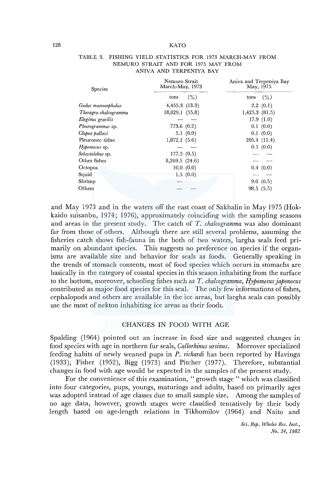#### 128 KATO

| <b>Species</b>        | Nemuro Strait<br>March-May, 1973 |           | Aniva and Terpeniya Bay<br>May, 1975 |              |  |
|-----------------------|----------------------------------|-----------|--------------------------------------|--------------|--|
|                       | tons                             | (%)       | tons                                 | (% )         |  |
| Gadus macrocephalus   | 4,455.3(13.3)                    |           |                                      | 2.2(0.1)     |  |
| Theragra chalcogramma | 18,029.1 (55.8)                  |           | $1,425.3$ $(81.5)$                   |              |  |
| Eleginus gracilis     |                                  |           |                                      | 17.9(1.0)    |  |
| Pleurogrammus sp.     | 773.6 (0.2)                      |           |                                      | 0.1(0.0)     |  |
| Clupea pallasi        |                                  | 5.1(0.0)  |                                      | 0.1(0.0)     |  |
| Pleuronec tidae       | 1,872,1(5.6)                     |           |                                      | 205.4 (11.4) |  |
| $H$ ypomesus sp.      |                                  |           |                                      | 0.1(0.0)     |  |
| Sebastolobus sp.      | 177.5(0.5)                       |           |                                      |              |  |
| Other fishes          | 8,269.5 (24.6)                   |           |                                      |              |  |
| Octopus               |                                  | 10.0(0.0) |                                      | 0.4(0.0)     |  |
| Squid                 |                                  | 1.5(0.0)  |                                      |              |  |
| Shrimp                |                                  |           |                                      | 9.0(0.5)     |  |
| Others                |                                  |           |                                      | 98.5(5.5)    |  |

#### TABLE 3. FISHING YIELD STATISTICS FOR 1973 MARCH-MAY FROM NEMURO STRAIT AND FOR 1975 MAY FROM ANIVA AND TERPENIYA BAY

and May 1973 and in the waters off the east coast of Sakhalin in May 1975 (Hokkaido suisanbu, 1974; 1976), approximately coinciding with the sampling seasons and areas in the present study. The catch of *T. chalcogramma* was also dominant far from those of others. Although there are still several problems, assuming the fisheries catch shows fish-fauna in the both of two waters, largha seals feed primarily on abundant species. This suggests no preference on species if the organisms are available size and behavior for seals as foods. Generally speaking in the trends of stomach contents, most of food species which occurs in stomachs are basically in the category of coastal species in this season inhabiting from the surface to the bottom, moreover, schooling fishes such as *T. chalcogramma, Hypomesus japonocus*  contributed as major food species for this seal. The only few informations of fishes, cephalopods and others are available in the ice areas, but largha seals can possibly use the most of nekton inhabiting ice areas as their foods.

# CHANGES IN FOOD WITH AGE

Spalding (1964) pointed out an increase in food size and suggested changes in food species with age in northern fur seals, *Callorhinus ursinus.* Moreover specialized feeding habits of newly weaned pups in *P. richardi* has been reported by Havinga (1933), Fisher (1952), Bigg (1973) and Pitcher (1977). Therefore, substantial changes in food with age would be expected in the samples of the present study.

For the convenience of this examination, "growth stage" which was classified into four categories, pups, youngs, maturings and adults, based on primarily ages was adopted instead of age classes due to small sample size. Among the samples of no age data, however, growth stages were classified tentatively by their body length based on age-length relations in Tikhomilov (1964) and Naito and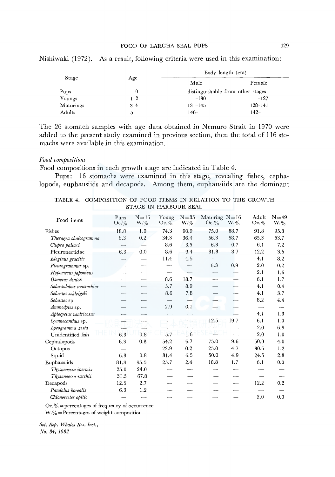| Stage     |         | Body length (cm)                  |         |  |  |  |  |
|-----------|---------|-----------------------------------|---------|--|--|--|--|
|           | Age     | Male                              | Female  |  |  |  |  |
| Pups      | 0       | distinguishable from other stages |         |  |  |  |  |
| Youngs    | $1 - 2$ | $-130$                            | $-127$  |  |  |  |  |
| Maturings | $3 - 4$ | $131 - 145$                       | 128-141 |  |  |  |  |
| Adults    | $5-$    | 146–                              | $142-$  |  |  |  |  |

Nishiwaki (1972). As a result, following criteria were used in this examination:

The 26 stomach samples with age data obtained in Nemuro Strait in 1970 were added to the present study examined in previous section, then the total of 116 stomachs were available in this examination.

#### *Food compositions*

Food compositions in each growth stage are indicated in Table 4.

Pups: 16 stomachs were examined in this stage, revealing fishes, cephalopods, euphausiids and decapods. Among them, euphausiids are the dominant

| TABLE 4. COMPOSITION OF FOOD ITEMS IN RELATION TO THE GROWTH |  |                       |  |  |  |
|--------------------------------------------------------------|--|-----------------------|--|--|--|
|                                                              |  | STAGE IN HARBOUR SEAL |  |  |  |

| Food items              | Pups<br>$Oc.\%$ | $N = 16$<br>$W.\%$       | Young<br>$Oc.\%$ | $N = 35$<br>$W.\%$ | Maturing $N = 16$<br>$Oc.\%$ | $W.\%$ | Adult<br>$Oc.\%$ | $N = 49$<br>$W.\%$ |
|-------------------------|-----------------|--------------------------|------------------|--------------------|------------------------------|--------|------------------|--------------------|
| Fishes                  | 18.8            | 1.0                      | 74.3             | 90.9               | 75.0                         | 88.7   | 91.8             | 95.8               |
| Theragra chalcogramma   | 6.3             | $\rm 0.2$                | 34.3             | 36.4               | 56.3                         | 58.7   | 65.3             | 53.7               |
| Clupea pallasi          |                 |                          | 8.6              | 3.5                | 6.3                          | 0.7    | 6.1              | 7.2                |
| Pleuronectidae          | 6.3             | 0.0                      | 8.6              | 9.4                | 31.3                         | 8.7    | 12.2             | 3.5                |
| Eleginus gracilis       |                 |                          | 11.4             | 4.5                |                              |        | 4.1              | 8.2                |
| Pleurogrammus sp.       |                 |                          |                  |                    | 6.3                          | 0.9    | 2.0              | 0.2                |
| Hypomesus japonicus     |                 |                          |                  |                    |                              |        | 2.1              | 1.6                |
| Osmerus dentex          |                 | $\overline{\phantom{0}}$ | 8.6              | 18.7               |                              |        | 6,1              | 1.7                |
| Sebastolobus macrochior |                 |                          | 5.7              | 8.9                |                              |        | 4.1              | 0.4                |
| Sebastes schleigeli     |                 |                          | 8.6              | 7.8                |                              |        | 4.1              | 3.7                |
| Sebastes sp.            |                 |                          |                  |                    |                              |        | 8.2              | 4.4                |
| Ammodytes sp.           |                 |                          | 2.9              | 0.1                |                              |        | --               |                    |
| Aptocyclus ventricosus  |                 |                          |                  |                    |                              |        | 4.1              | 1.3                |
| Gymnocanthus sp.        |                 |                          |                  |                    | 12.5                         | 19.7   | 6.1              | 1.0                |
| Lycogramma zesta        |                 |                          |                  |                    |                              |        | 2.0              | 6.9                |
| Unidentified fish       | 6.3             | 0.8                      | 5.7              | 1.6                |                              |        | 2.0              | 1.0                |
| Cephalopods             | 6.3             | 0.8                      | 54.2             | 6.7                | 75.0                         | 9.6    | 50.0             | 4.0                |
| Octopus                 |                 |                          | 22.9             | 0.2                | 25.0                         | 4.7    | 30.6             | 1.2                |
| Squid                   | 6.3             | 0.8                      | 31.4             | 6.5                | 50.0                         | 4.9    | 24.5             | 2.8                |
| Euphausiids             | 81.3            | 95.5                     | 25.7             | $2.4\,$            | 18.8                         | 1.7    | 6.1              | 0.0                |
| Thysanoessa inermis     | 25.0            | 24.0                     |                  |                    |                              |        |                  |                    |
| Thysanoessa raschii     | 31.3            | 67.8                     |                  |                    |                              |        |                  |                    |
| Decapods                | 12.5            | 2.7                      | ---              |                    |                              |        | 12.2             | 0.2                |
| Pandalus borealis       | 6.3             | 1.2                      |                  |                    |                              |        |                  |                    |
| Chionoecetes opitio     |                 | ---                      | ----             | --                 |                              |        | 2.0              | 0.0                |

 $Oc$ .  $\%$  = percentages of frequency of occurrence

 $W.\% =$  Percentages of weight composition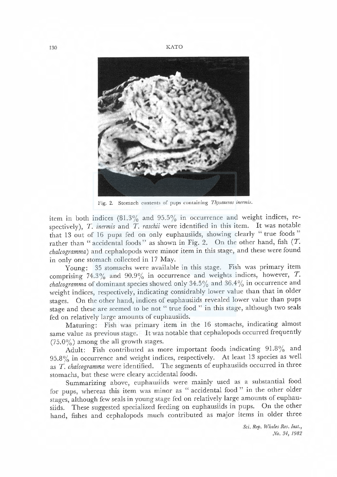130 K ATO



Fig. 2. Stomach contents of pups containing Thysanesas inermis.

item in both indices  $(81.3\%$  and  $95.5\%$  in occurrence and weight indices, respectively),  $T$ . inermis and  $T$ . raschii were identified in this item. It was notable that 13 out of 16 pups fed on only euphausiids, showing clearly "true foods" rather than "accidental foods" as shown in Fig. 2. On the other hand, fish  $(T$ . chalcogramma) and cephalopods were minor item in this stage, and these were found in only one stomach collected in 17 May.

Young: 35 stomachs were available in this stage. Fish was primary item comprising 74.3% and 90.9% in occurrence and weights indices, however,  $T$ . chalcogramma of dominant species showed only 34.5% and 36.4% in occurrence and weight indices, respectively, indicating considrably lower value than that in older stages. On the other hand, indices of euphausiids revealed lower value than pups stage and these arc seemed to be not " true food " in this stage, although two seals fed on relatively large amounts of euphausiids.

Maturing: Fish was primary item in the 16 stomachs, indicating almost same value as previous stage. It was notable that cephalopods occurred frequently  $(75.0\%)$  among the all growth stages.

Adult: Fish eontributed as more important foods indicating 91.8% and 95.8 % in occurrence and weight indices, respectively. At least 13 species as well as T. chalcogramma were identified. The segments of euphausiids occurred in three stomachs, but these were deary accidental foods.

Summarizing above, euphausids were mainly used as a substantial food for pups, whereas this item was minor as "accidental food" in the other older stages, although few seals in young stage fed on relatively large amounts of euphausiids. These suggested specialized feeding on euphausiids in pups. On the other hand, fishes and cephalopods much contributed as major items in older three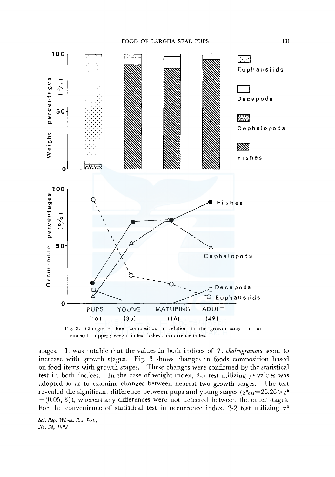

Fig. 3. Changes of food composition in relation to the growth stages in largha seal. upper: weight index, below: occurrence index.

stages. It was notable that the values in both indices of *T. chalcogramma* seem to increase with growth stages. Fig. 3 shows changes in foods composition based on food items with growth stages. These changes were confirmed by the statistical test in both indices. In the case of weight index, 2-n test utilizing  $\chi^2$  values was adopted so as to examine changes between nearest two growth stages. The test revealed the significant difference between pups and young stages ( $\chi^2_{\text{cal}}=26.26>\chi^2$  $=(0.05, 3)$ , whereas any differences were not detected between the other stages. For the convenience of statistical test in occurrence index, 2-2 test utilizing  $\chi^2$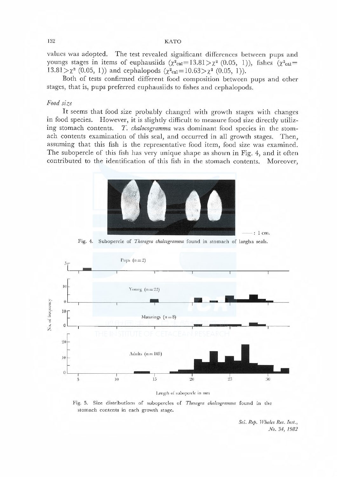#### 132 KATO

values was adopted. The test revealed significant differences between pups and youngs stages in items of euphausiids  $(\chi^2_{\text{cal}}=13.81>\chi^2$  (0.05, 1)), fishes  $(\chi^2_{\text{cal}}=$  $13.81 > \chi^2$  (0.05, 1)) and cephalopods ( $\chi^2_{\text{cal}}=10.63 > \chi^2$  (0.05, 1)).

Both of tests confirmed different food composition between pups and other stages, that is, pups preferred euphausiids to fishes and cephalopods.

#### Food size

It seems that food size probably changed with growth stages with changes in food species. However, it is slightly difficult to measure food size directly utilizing stomach contents. T. chalocogramma was dominant food species in the stomach contents examination of this seal, and occurred in all growth stages. Then, assuming that this fish is the representative food item, food size was examined. The subopercle of this fish has very unique shape as shown in Fig. 4, and it often contributed to the identification of this fish in the stomach contents. Moreover,



: l cm.

Fig. 4. Subopercle of Theragra chalcogramma found in stomach of largha seals.



#### Length of subopercle in mm

Fig. 5. Size distributions of subopercles of Theragra chalcogramma found in the stomach contents in each growth stage.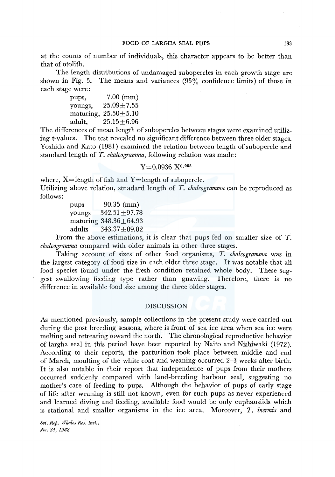at the counts of number of individuals, this character appears to be better than that of otolith.

The length distributions of undamaged subopercles in each growth stage are shown in Fig. 5. The means and variances (95% confidence limits) of those in each stage were:

> pups, 7.00 (mm) youngs,  $25.09 \pm 7.55$ maturing,  $25.50 \pm 5.10$ adult, 25.15±6.96

The differences of mean length of subopercles between stages were examined utilizing t-values. The test revealed no significant difference between three older stages. Yoshida and Kato (1981) examined the relation between length of subopercle and standard length of *T. chalcogramma,* following relation was made:

# $Y = 0.0936$   $X^{0.958}$

where,  $X =$ length of fish and  $Y =$ length of subopercle. Utilizing above relation, stnadard length of T. *chalcogramma* can be reproduced as follows:

> pups 90.35 (mm) youngs  $342.51 \pm 97.78$ maturing 348.36±64.93 adults 343.37±89.82

From the above estimations, it is clear that pups fed on smaller size of *T. chalcogramma* compared with older animals in other three stages.

Taking account of sizes of other food organisms, T. *chalcogramma* was in the largest category of food size in each older three stage. It was notable that all food species found under the fresh condition retained whole body. These suggest swallowing feeding type rather than gnawing. Therefore, there is no difference in available food size among the three older stages.

#### DISCUSSION

As mentioned previously, sample collections in the present study were carried out during the post breeding seasons, where is front of sea ice area when sea ice were melting and retreating toward the north. The chronological reproductive behavior of largha seal in this period have been reported by Naito and Nishiwaki (1972). According to their reports, the parturition took place between middle and end of March, moulting of the white coat and weaning occurred 2-3 weeks after birth. It is also notable in their report that independence of pups from their mothers occurred suddenly compared with land-breeding harbour seal, suggesting no mother's care of feeding to pups. Although the behavior of pups of early stage of life after weaning is still not known, even for such pups as never experienced and learned diving and feeding, available food would be only euphausiids which is stational and smaller organisms in the ice area. Moreover, *T. inermis* and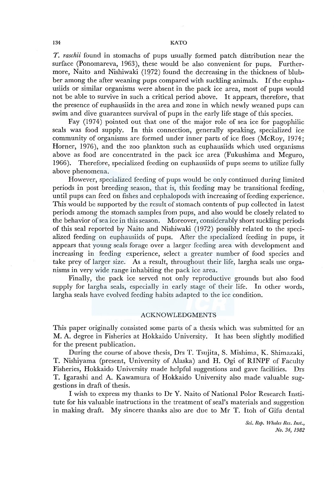*T. raschii* found in stomachs of pups usually formed patch distribution near the surface (Ponomareva, 1963), these would be also convenient for pups. Furthermore, Naito and Nishiwaki (1Q72) found the decreasing in the thickness of blubber among the after weaning pups compared with suckling animals. If the euphausiids or similar organisms were absent in the pack ice area, most of pups would not be able to survive in such a critical period above. It appears, therefore, that the presence of euphausiids in the area and zone in which newly weaned pups can swim and dive guarantees survival of pups in the early life stage of this species.

Fay (1974) pointed out that one of the major role of sea ice for pagophilic seals was food supply. In this connection, generally speaking, specialized ice community of organisms are formed under inner parts of ice floes (McRoy, 1974; Horner, 1976), and the zoo plankton such as euphausiids which used organisms above as food are concentrated in the pack ice area (Fukushima and Meguro, 1966). Therefore, specialized feeding on euphausiids of pups seems to utilize fully above phenomena.

However, specialized feeding of pups would be only continued during limited periods in post breeding season, that is, this feeding may be transitional feeding, until pups can feed on fishes and cephalopods with increasing of feeding experience. This would be supported by the result of stomach contents of pup collected in latest periods among the stomach samples from pups, and also would be closely related to the behavior of sea ice in this season. Moreover, considerably short suckling periods of this seal reported by Naito and Nishiwaki (1972) possibly related to the specialized feeding on euphausiids of pups. After the specialized feeding in pups, it appears that young seals forage over a larger feeding area with development and increasing in feeding experience, select a greater number of food species and take prey of larger size. As a result, throughout their life, largha seals use organisms in very wide range inhabiting the pack ice area.

Finally, the pack ice served not only reproductive grounds but also food supply for largha seals, especially in early stage of their life. In other words, largha seals have evolved feeding habits adapted to the ice condition.

#### ACKNOWLEDGMENTS

This paper originally consisted some parts of a thesis which was submitted for an M.A. degree in Fisheries at Hokkaido University. It has been slightly modified for the present publication.

During the course of above thesis, Drs T. Tsujita, S. Mishima, K. Shimazaki, T. Nishiyama (present, University of Alaska) and H. Ogi of RINPF of Faculty Fisheries, Hokkaido University made helpful suggestions and gave facilities. Drs T. Igarashi and A. Kawamura of Hokkaido University also made valuable suggestions in draft of thesis.

I wish to express my thanks to Dr Y. Naito of National Polor Research Institute for his valuable instructions in the treatment of seal's materials and suggestion in making draft. My sincere thanks also are due to Mr T. Itoh of Gifu dental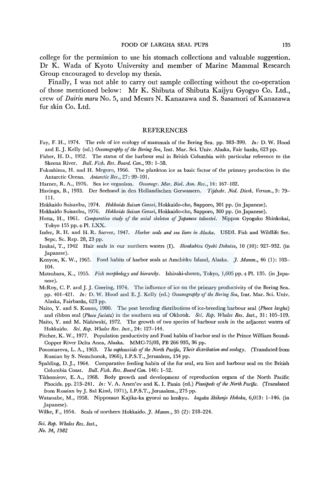college for the permission to use his stomach collections and valuable suggestion. Dr K. Wada of Kyoto University and member of Marine Mammal Research Group encouraged to develop my thesis.

Finally, I was not able to carry out sample collecting without the co-operation of those mentioned below: Mr K. Shibuta of Shibuta Kaijyu Gyogyo Co. Ltd., crew of *Dairin maru* No. 5, and Messrs N. Kanazawa and S. Sasamori of Kanazawa fur skin Co. Ltd.

#### REFERENCES

- Fay, F. H., 1974. The role of ice ecology of mammals of the Bering Sea. pp. 383-399. *In:* D. W. Hood and E.J. Kelly (ed.) *Oceanography of the Bering Sea,* Inst. Mar. Sci. Univ. Alaska, Fair banks, 623 pp.
- Fisher, H. D., 1952. The status of the harbour seal in British Columbia with particular reference to the Skeena River. *Bull. Fish. Res. Board. Can.,* 93: 1-58.
- Fukushima, H. and H. Meguro, 1966. The plankton ice as basic factor of the primary production in the Antarctic Ocean. *Antarctic Res.,* 27: 99-101.

Harner, R. A., 1976. Sea ice organism. *Oceanogr. Mar. Biol. Ann. Rev.,* 14: 167-182.

Havinga, B., 1933. Der Seehund in den Hollandischen Gerwassern. *Tijdschr. Ned. Dierk. Verreen.,* 3: 79- 111.

Hokkaido Suisanbu, 1974. *Hokkaido Suisan Gensei,* Hokkaido-cho, Sapporo, 301 pp. (in Japanese).

Hokkaido Suisanbu, 1976. *Hokkaido Suisan Gensei,* Hokkaido-cho, Sapporo, 300 pp. (in Japanese).

Hotta, H., 1961. *Comparative study of the axial skeleton of Japanese taleostei.* Nippon Gyogaku Shinkokai, Tokyo 155 pp. $+$ Pl. LXX.

- Imler, R.H. and H. R. Sarver, 1947. *Harbor seals and sea lions in Alaska.* USDI. Fish and Wildlife Ser. Sepe. Sc. Rep. 28, 23 pp.
- Inukai, T., 1942 Hair seals in our northern waters (I). *Shoukubtsu Oyobi Dobutsu,* 10 (10): 927-932. (in Japanese).
- Kenyon, K. W., 1965. Food habits of harbor seals at Amchitku Island, Alaska. *J. Mamm.,* 46 (!): 103- 104.
- Matsubara, K., 1955. *Fish morphology and hierarchy.* Ishizaki-shoten, Tokyo, 1,605 pp.+ Pl. 135. (in Japanese).
- McRoy, C. P. and J. J. Goering, 1974. The influence of ice on the primary productivity of the Bering Sea. pp. 401-421. *In:* D. W. Hood and E.J. Kelly (ed.) *Oceanography of the Bering Sea,* Inst. Mar. Sci. Univ. Alaska, Fairbanks, 623 pp.
- Naito, Y. and S. Konno, 1980. The post breeding distributions of ice-breeding harbour seal *(Phoca largha)*  and ribbon seal *(Phocofaciata)* in the southern sea of Okhotsk. *Sci. Rep. Whales Res. Inst.,* 31: 105-119.
- Naito, Y. and M. Nishiwaki, 1972. The growth of two species of harbour seals in the adjacent waters of Hokkaido. *Sci. Rep. Whales Res. Inst.,* 24: 127-144.
- Pitcher, K. W., 1977. Population productivity and Food habits of harbor seal in the Prince William Sound-Copper River Delta Anea, Alaska. MMC-75/03, PB 266 935, 36 pp.
- Ponomareva, L. A., 1963. *The euphausiids of the North Pacific, Their distribution and ecology.* (Translated from Russian by S. Nemchonok, 1966), 1.P.S.T., Jerusalem, 154 pp.
- Spalding, D.J., 1964. Comparative feeding habits of the fur seal, sea lion and harbour seal on the British Columbia Coast. *Bull. Fish. Res. Board Can.* 146: 1-52.
- Tikhomirov, E. A., 1968. Body growth and development of reproduction organs of the North Pacific Phocids. pp. 213-241. *In:* V. A. Arsen'ev and K. I. Panin (ed.) *Pinnipeds of the North Pacific.* (Translated from Russian by J. Sal Kind, 1971), 1.P.S.T., Jerusalem., 275 pp.
- Watanabe, M., 1958. Nipponsan Kajika-ka gyorui no kenkyu. *kagaku Shikenjo Hokoku,* 6,013: 1-146. (in Japanese).

Wilke, F., 1954. Seals of northern Hokkaido.]. *Mamm.,* 35 (2): 218-224.